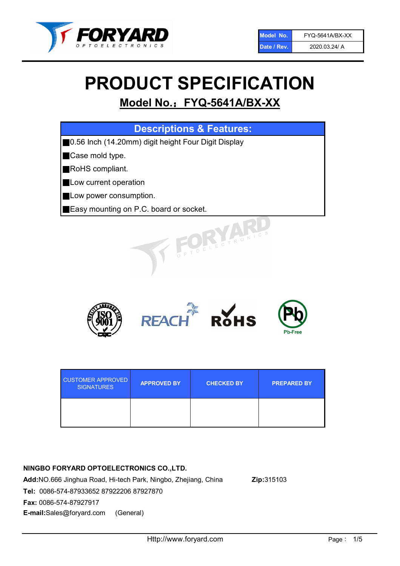

# PRODUCT SPECIFICATION

# Model No.: FYQ-5641A/BX-XX

| <b>Descriptions &amp; Features:</b>                      |
|----------------------------------------------------------|
| 0.56 Inch (14.20mm) digit height Four Digit Display<br>Ш |
| Case mold type.                                          |
| <b>RoHS</b> compliant.                                   |
| Low current operation                                    |
| Low power consumption.                                   |
| Easy mounting on P.C. board or socket.                   |
| TOELECTRONIC                                             |



| <b>CUSTOMER APPROVED</b><br><b>SIGNATURES</b> | <b>APPROVED BY</b> | <b>CHECKED BY</b> | <b>PREPARED BY</b> |
|-----------------------------------------------|--------------------|-------------------|--------------------|
|                                               |                    |                   |                    |

### NINGBO FORYARD OPTOELECTRONICS CO.,LTD.

Add:NO.666 Jinghua Road, Hi-tech Park, Ningbo, Zhejiang, China Zip:315103 Tel: 0086-574-87933652 87922206 87927870 Fax: 0086-574-87927917 E-mail:Sales@foryard.com (General)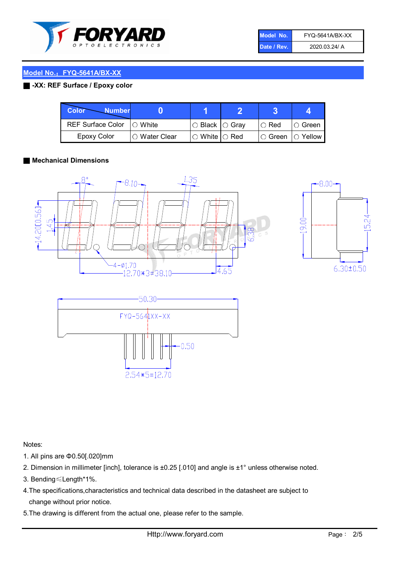

| Model No.   | FYQ-5641A/BX-XX |
|-------------|-----------------|
| Date / Rev. | 2020.03.24/ A   |

#### Model No.: FYQ-5641A/BX-XX

#### ■ -XX: REF Surface / Epoxy color

| <b>Color</b><br><b>Number</b> |                        |                           |               |                |
|-------------------------------|------------------------|---------------------------|---------------|----------------|
| <b>REF Surface Color</b>      | $\Box$ White           | ○ Black  ○ Gray           | $\circ$ Red   | IO Green       |
| <b>Epoxy Color</b>            | $\bigcirc$ Water Clear | $\circ$ White $\circ$ Red | $\circ$ Green | $\circ$ Yellow |

#### ■ Mechanical Dimensions







Notes:

- 1. All pins are Φ0.50[.020]mm
- 2. Dimension in millimeter [inch], tolerance is ±0.25 [.010] and angle is ±1° unless otherwise noted.
- 3. Bending≤Length\*1%.
- 4.The specifications,characteristics and technical data described in the datasheet are subject to change without prior notice.
- 5.The drawing is different from the actual one, please refer to the sample.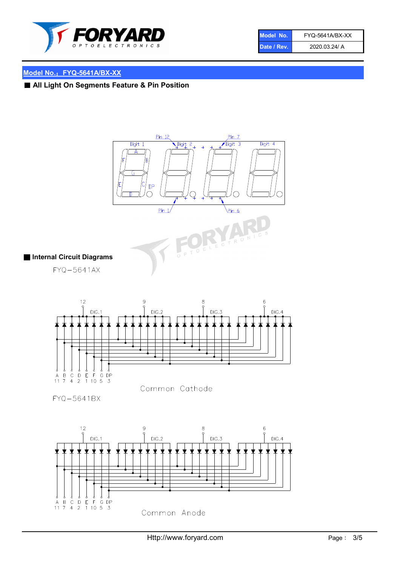

| Model No.   | FYQ-5641A/BX-XX |
|-------------|-----------------|
| Date / Rev. | 2020.03.24/ A   |

# Model No.: FYQ-5641A/BX-XX

# ■ All Light On Segments Feature & Pin Position

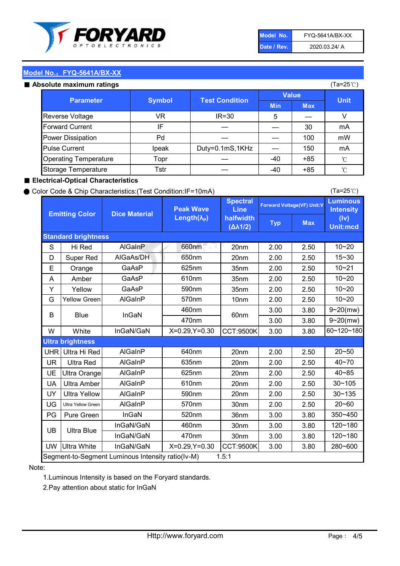

| Model No.   | <b>FYQ-5641A/BX-XX</b> |
|-------------|------------------------|
| Date / Rev. | 2020.03.24/ A          |

(Ta=25℃)

#### Model No.: FYQ-5641A/BX-XX

#### $\sim$  Absolute

| solute maximum ratings       |               |                       |              |            | (Ta=25℃)    |
|------------------------------|---------------|-----------------------|--------------|------------|-------------|
| <b>Parameter</b>             | <b>Symbol</b> | <b>Test Condition</b> | <b>Value</b> |            |             |
|                              |               |                       | <b>Min</b>   | <b>Max</b> | <b>Unit</b> |
| Reverse Voltage              | VR            | $IR = 30$             | 5            |            |             |
| <b>Forward Current</b>       | IF            |                       |              | 30         | mA          |
| Power Dissipation            | Pd            |                       |              | 100        | mW          |
| <b>Pulse Current</b>         | Ipeak         | Duty=0.1mS,1KHz       |              | 150        | mA          |
| <b>Operating Temperature</b> | Topr          |                       | $-40$        | $+85$      | °C          |
| Storage Temperature          | Tstr          |                       | -40          | $+85$      | °C          |

#### ■ Electrical-Optical Characteristics

#### ● Color Code & Chip Characteristics:(Test Condition:IF=10mA)

Typ Max S | Hi $\textsf{Red}$  | AlGaInP | 660nm LE 20nm | 2.00 | 2.50 D | Super Red | AIGaAs/DH | 650nm | 20nm | 2.00 | 2.50 E | Orange | GaAsP | 625nm | 35nm | 2.00 | 2.50 A | Amber | GaAsP | 610nm | 35nm | 2.00 | 2.50 Y | Yellow | GaAsP | 590nm | 35nm | 2.00 | 2.50 G Yellow Green AIGaInP | 570nm | 10nm | 2.00 | 2.50 3.00 3.80 3.00 3.80 W | White | InGaN/GaN | X=0.29,Y=0.30 |CCT:9500K| 3.00 | 3.80 UHR Ultra Hi Red | AlGaInP | 640nm | 20nm | 2.00 | 2.50 UR | Ultra Red | AlGaInP | 635nm | 20nm | 2.00 | 2.50 UE Ultra Orange | AIGaInP | 625nm | 20nm | 2.00 | 2.50 UA Ultra Amber | AIGaInP | 610nm | 20nm | 2.00 | 2.50  $UV$  Ultra Yellow  $\vert$  AlGaInP  $\vert$  590nm  $\vert$  20nm  $\vert$  2.00  $\vert$  2.50  $\text{UG}$  Ultra Yellow Green | AIGaInP | 570nm | 30nm | 2.00 | 2.50 PG Pure Green | InGaN | 520nm | 36nm | 3.00 | 3.80 30nm 3.00 3.80 30nm 3.00 3.80 UW |Ultra White | InGaN/GaN | X=0.29,Y=0.30 |CCT:9500K| 3.00 | 3.80 40~85 60~120~180 40~70 Segment-to-Segment Luminous Intensity ratio(Iv-M) 1.5:1 610nm 9~20(mw) 350~450 470nm 120~180 120~180 Ultra Blue InGaN/GaN InGaN/GaN 9~20(mw) 20~50 280~600 570nm | 30nm | 2.00 | 2.50 | 20~60 470nm 590nm InGaN/GaN B Blue I InGaN 570nm | 10nm | 2.00 | 2.50 | 10~20 30~105 30~135 460nm 520nm Ultra brightness **AlGaInP** AlGaInP 60nm AlGaInP 640nm Peak Wave Length $(\lambda_{\rm P})$ UB 460nm 635nm AlGaInP AlGaInP AlGaInP InGaN/GaN AlGaInP 10~20 Luminous **Intensity** (Iv) Unit:mcd AlGainP 660nm GaAsP GaAsP AlGaAs/DH **Spectral** Line halfwidth (∆λ1/2) 10~20 Standard brightness Forward Voltage(VF) Unit:V 15~30 10~20 625nm GaAsP 590nm **Emitting Color Dice Material** 10~21 610nm

#### Note:

1.Luminous Intensity is based on the Foryard standards.

2.Pay attention about static for InGaN